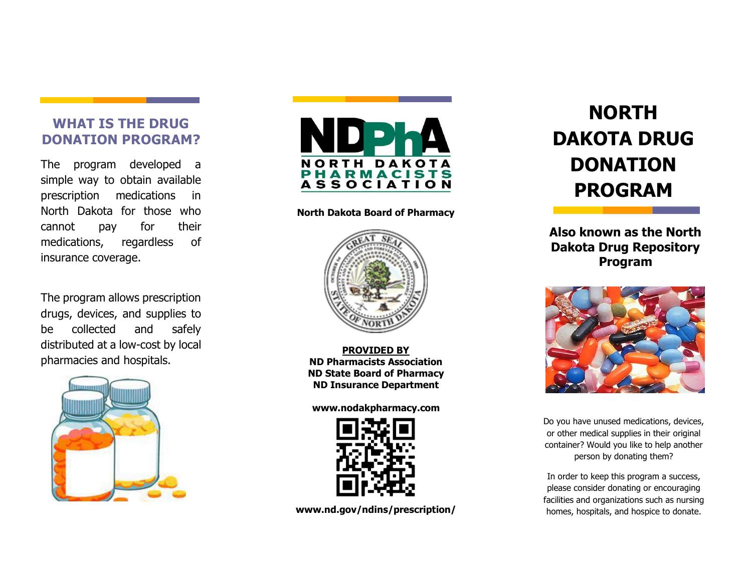#### **WHAT IS THE DRUG DONATION PROGRAM?**

The program developed a simple way to obtain available prescription medications in North Dakota for those who cannot pay for their medications, regardless of insurance coverage.

The program allows prescription drugs, devices, and supplies to be collected and safely distributed at a low-cost by local pharmacies and hospitals.





#### **North Dakota Board of Pharmacy**



**PROVIDED BY ND Pharmacists Association ND State Board of Pharmacy ND Insurance Department**

#### **www.nodakpharmacy.com**



**www.nd.gov/ndins/prescription/**

# **NORTH DAKOTA DRUG DONATION PROGRAM**

**Also known as the North Dakota Drug Repository Program**



Do you have unused medications, devices, or other medical supplies in their original container? Would you like to help another person by donating them?

In order to keep this program a success, please consider donating or encouraging facilities and organizations such as nursing homes, hospitals, and hospice to donate.